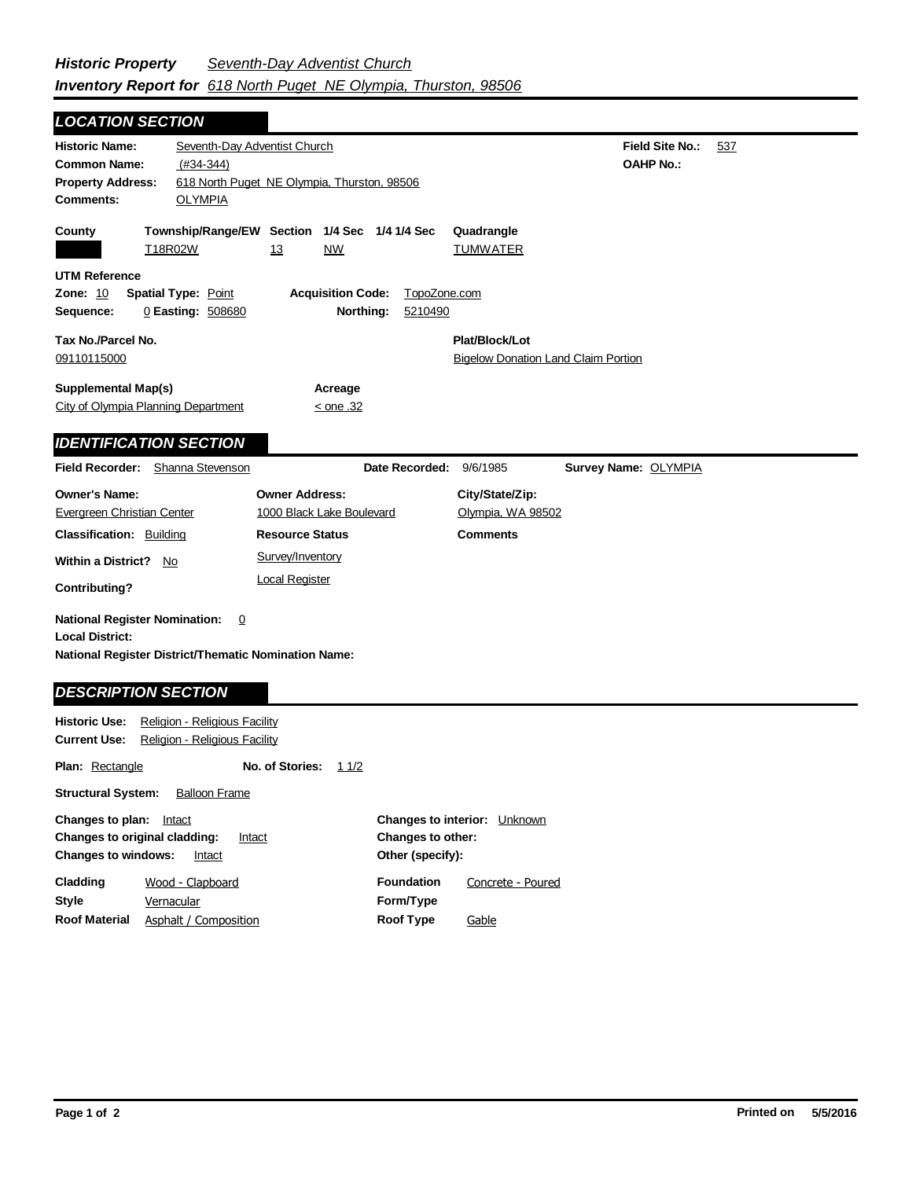*LOCATION SECTION*

| LUCATION SECTION                                                                                                                                     |                                                               |                                                                  |                         |                                                              |                                            |     |
|------------------------------------------------------------------------------------------------------------------------------------------------------|---------------------------------------------------------------|------------------------------------------------------------------|-------------------------|--------------------------------------------------------------|--------------------------------------------|-----|
| <b>Historic Name:</b><br><b>Common Name:</b><br><b>Property Address:</b><br><b>Comments:</b>                                                         | Seventh-Day Adventist Church<br>$(H34-344)$<br><b>OLYMPIA</b> | 618 North Puget NE Olympia, Thurston, 98506                      |                         |                                                              | <b>Field Site No.:</b><br><b>OAHP No.:</b> | 537 |
| County                                                                                                                                               | T18R02W                                                       | Township/Range/EW Section 1/4 Sec 1/4 1/4 Sec<br>13<br><b>NW</b> |                         | Quadrangle<br><b>TUMWATER</b>                                |                                            |     |
| <b>UTM Reference</b><br>Zone: 10<br>Sequence:                                                                                                        | <b>Spatial Type: Point</b><br>0 Easting: 508680               | <b>Acquisition Code:</b><br>Northing:                            | TopoZone.com<br>5210490 |                                                              |                                            |     |
| Tax No./Parcel No.<br>09110115000                                                                                                                    |                                                               |                                                                  |                         | Plat/Block/Lot<br><b>Bigelow Donation Land Claim Portion</b> |                                            |     |
| <b>Supplemental Map(s)</b><br>City of Olympia Planning Department                                                                                    |                                                               | Acreage<br>$\le$ one .32                                         |                         |                                                              |                                            |     |
| <b>IDENTIFICATION SECTION</b>                                                                                                                        |                                                               |                                                                  |                         |                                                              |                                            |     |
| Field Recorder: Shanna Stevenson                                                                                                                     |                                                               |                                                                  | Date Recorded:          | 9/6/1985                                                     | Survey Name: OLYMPIA                       |     |
| <b>Owner's Name:</b><br>Evergreen Christian Center                                                                                                   |                                                               | <b>Owner Address:</b><br>1000 Black Lake Boulevard               |                         | City/State/Zip:<br>Olympia, WA 98502                         |                                            |     |
| <b>Classification: Building</b><br><b>Within a District?</b><br>No.                                                                                  |                                                               | <b>Resource Status</b><br>Survey/Inventory                       |                         | Comments                                                     |                                            |     |
| Contributing?                                                                                                                                        |                                                               | <b>Local Register</b>                                            |                         |                                                              |                                            |     |
| <b>National Register Nomination:</b><br><b>Local District:</b><br>National Register District/Thematic Nomination Name:<br><b>DESCRIPTION SECTION</b> | $\overline{0}$                                                |                                                                  |                         |                                                              |                                            |     |
| <b>Historic Use:</b><br>Religion - Religious Facility                                                                                                | Religion - Religious Facility                                 |                                                                  |                         |                                                              |                                            |     |

**Other (specify):**

**Foundation**

**Form/Type Roof Type**

**Changes to other:**

**Changes to interior:** Unknown

Concrete - Poured

**Gable** 

**No. of Stories:** 11/2

**Plan:** Rectangle

**Structural System:** Balloon Frame

**Changes to original cladding: Intact Changes to windows:** Intact

> **Vernacular** Wood - Clapboard

Asphalt / Composition

**Changes to plan:** Intact

**Style**

**Cladding**

**Roof Material**